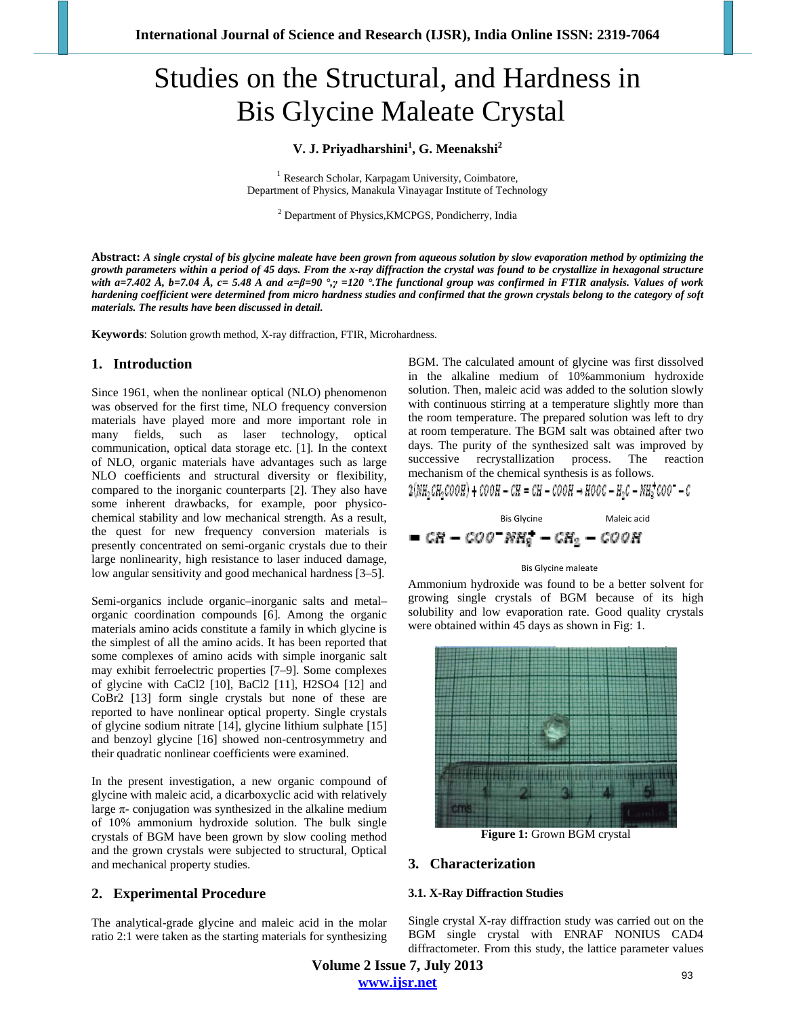# Studies on the Structural, and Hardness in Bis Glycine Maleate Crystal

## **V. J. Priyadharshini<sup>1</sup> , G. Meenakshi<sup>2</sup>**

<sup>1</sup> Research Scholar, Karpagam University, Coimbatore, Department of Physics, Manakula Vinayagar Institute of Technology

<sup>2</sup> Department of Physics, KMCPGS, Pondicherry, India

**Abstract:** *A single crystal of bis glycine maleate have been grown from aqueous solution by slow evaporation method by optimizing the growth parameters within a period of 45 days. From the x-ray diffraction the crystal was found to be crystallize in hexagonal structure with a=7.402 Å, b=7.04 Å, c= 5.48 A and α=β=90 °,γ =120 °.The functional group was confirmed in FTIR analysis. Values of work hardening coefficient were determined from micro hardness studies and confirmed that the grown crystals belong to the category of soft materials. The results have been discussed in detail.*

**Keywords**: Solution growth method, X-ray diffraction, FTIR, Microhardness.

## **1. Introduction**

Since 1961, when the nonlinear optical (NLO) phenomenon was observed for the first time, NLO frequency conversion materials have played more and more important role in many fields, such as laser technology, optical communication, optical data storage etc. [1]. In the context of NLO, organic materials have advantages such as large NLO coefficients and structural diversity or flexibility, compared to the inorganic counterparts [2]. They also have some inherent drawbacks, for example, poor physicochemical stability and low mechanical strength. As a result, the quest for new frequency conversion materials is presently concentrated on semi-organic crystals due to their large nonlinearity, high resistance to laser induced damage, low angular sensitivity and good mechanical hardness [3–5].

Semi-organics include organic–inorganic salts and metal– organic coordination compounds [6]. Among the organic materials amino acids constitute a family in which glycine is the simplest of all the amino acids. It has been reported that some complexes of amino acids with simple inorganic salt may exhibit ferroelectric properties [7–9]. Some complexes of glycine with CaCl2 [10], BaCl2 [11], H2SO4 [12] and CoBr2 [13] form single crystals but none of these are reported to have nonlinear optical property. Single crystals of glycine sodium nitrate [14], glycine lithium sulphate [15] and benzoyl glycine [16] showed non-centrosymmetry and their quadratic nonlinear coefficients were examined.

In the present investigation, a new organic compound of glycine with maleic acid, a dicarboxyclic acid with relatively large  $\pi$ - conjugation was synthesized in the alkaline medium of 10% ammonium hydroxide solution. The bulk single crystals of BGM have been grown by slow cooling method and the grown crystals were subjected to structural, Optical and mechanical property studies.

## **2. Experimental Procedure**

The analytical-grade glycine and maleic acid in the molar ratio 2:1 were taken as the starting materials for synthesizing

BGM. The calculated amount of glycine was first dissolved in the alkaline medium of 10%ammonium hydroxide solution. Then, maleic acid was added to the solution slowly with continuous stirring at a temperature slightly more than the room temperature. The prepared solution was left to dry at room temperature. The BGM salt was obtained after two days. The purity of the synthesized salt was improved by successive recrystallization process. The reaction mechanism of the chemical synthesis is as follows.

$$
2(NH, CH, COOH) + COOH - CH = CH - COOH \rightarrow HOOC - H_2C - NH_2^+ COO^- - C
$$

Bis Glycine Maleic acid

$$
= CR = COO^-NH_2^- - CH_2 - COOR
$$

#### Bis Glycine maleate

Ammonium hydroxide was found to be a better solvent for growing single crystals of BGM because of its high solubility and low evaporation rate. Good quality crystals were obtained within 45 days as shown in Fig: 1.



**Figure 1:** Grown BGM crystal

### **3. Characterization**

#### **3.1. X-Ray Diffraction Studies**

Single crystal X-ray diffraction study was carried out on the BGM single crystal with ENRAF NONIUS CAD4 diffractometer. From this study, the lattice parameter values

**Volume 2 Issue 7, July 2013 www.ijsr.net**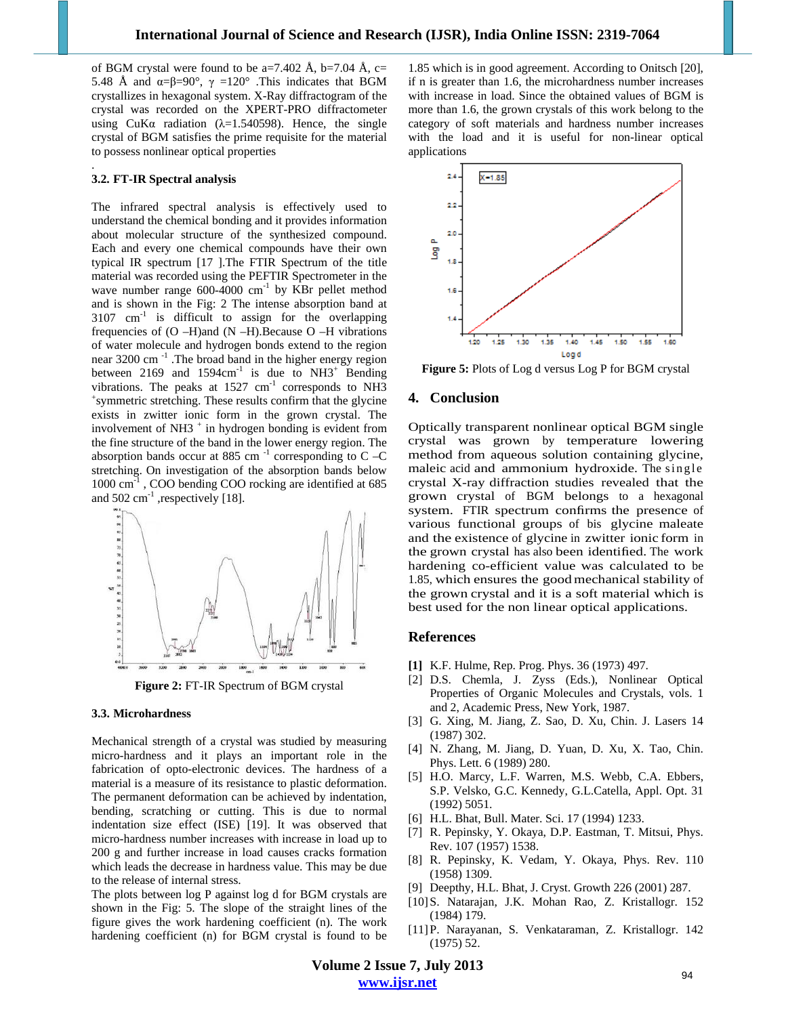of BGM crystal were found to be a=7.402 Å, b=7.04 Å, c= 5.48 Å and  $\alpha = \beta = 90^\circ$ ,  $\gamma = 120^\circ$  . This indicates that BGM crystallizes in hexagonal system. X-Ray diffractogram of the crystal was recorded on the XPERT-PRO diffractometer using CuKa radiation ( $\lambda$ =1.540598). Hence, the single crystal of BGM satisfies the prime requisite for the material to possess nonlinear optical properties

#### **3.2. FT-IR Spectral analysis**

.

The infrared spectral analysis is effectively used to understand the chemical bonding and it provides information about molecular structure of the synthesized compound. Each and every one chemical compounds have their own typical IR spectrum [17 ].The FTIR Spectrum of the title material was recorded using the PEFTIR Spectrometer in the wave number range  $600-4000$  cm<sup>-1</sup> by KBr pellet method and is shown in the Fig: 2 The intense absorption band at  $3107 \text{ cm}^{-1}$  is difficult to assign for the overlapping frequencies of (O –H)and (N –H).Because O –H vibrations of water molecule and hydrogen bonds extend to the region near 3200 cm<sup>-1</sup>. The broad band in the higher energy region between 2169 and  $1594 \text{cm}^{-1}$  is due to NH3<sup>+</sup> Bending vibrations. The peaks at  $1527 \text{ cm}^{-1}$  corresponds to NH3 symmetric stretching. These results confirm that the glycine exists in zwitter ionic form in the grown crystal. The involvement of NH3 $^+$  in hydrogen bonding is evident from the fine structure of the band in the lower energy region. The absorption bands occur at 885 cm<sup>-1</sup> corresponding to C –C stretching. On investigation of the absorption bands below 1000 cm-1 , COO bending COO rocking are identified at 685 and  $502 \text{ cm}^{-1}$ , respectively [18].



**Figure 2:** FT-IR Spectrum of BGM crystal

#### **3.3. Microhardness**

Mechanical strength of a crystal was studied by measuring micro-hardness and it plays an important role in the fabrication of opto-electronic devices. The hardness of a material is a measure of its resistance to plastic deformation. The permanent deformation can be achieved by indentation, bending, scratching or cutting. This is due to normal indentation size effect (ISE) [19]. It was observed that micro-hardness number increases with increase in load up to 200 g and further increase in load causes cracks formation which leads the decrease in hardness value. This may be due to the release of internal stress.

The plots between log P against log d for BGM crystals are shown in the Fig: 5. The slope of the straight lines of the figure gives the work hardening coefficient (n). The work hardening coefficient (n) for BGM crystal is found to be

1.85 which is in good agreement. According to Onitsch [20], if n is greater than 1.6, the microhardness number increases with increase in load. Since the obtained values of BGM is more than 1.6, the grown crystals of this work belong to the category of soft materials and hardness number increases with the load and it is useful for non-linear optical applications



**Figure 5:** Plots of Log d versus Log P for BGM crystal

#### **4. Conclusion**

Optically transparent nonlinear optical BGM single crystal was grown by temperature lowering method from aqueous solution containing glycine, maleic acid and ammonium hydroxide. The single crystal X-ray diffraction studies revealed that the grown crystal of BGM belongs to a hexagonal system. FTIR spectrum confirms the presence of various functional groups of bis glycine maleate and the existence of glycine in zwitter ionic form in the grown crystal has also been identified. The work hardening co-efficient value was calculated to be 1.85, which ensures the good mechanical stability of the grown crystal and it is a soft material which is best used for the non linear optical applications.

#### **References**

- **[1]** K.F. Hulme, Rep. Prog. Phys. 36 (1973) 497.
- [2] D.S. Chemla, J. Zyss (Eds.), Nonlinear Optical Properties of Organic Molecules and Crystals, vols. 1 and 2, Academic Press, New York, 1987.
- [3] G. Xing, M. Jiang, Z. Sao, D. Xu, Chin. J. Lasers 14 (1987) 302.
- [4] N. Zhang, M. Jiang, D. Yuan, D. Xu, X. Tao, Chin. Phys. Lett. 6 (1989) 280.
- [5] H.O. Marcy, L.F. Warren, M.S. Webb, C.A. Ebbers, S.P. Velsko, G.C. Kennedy, G.L.Catella, Appl. Opt. 31 (1992) 5051.
- [6] H.L. Bhat, Bull. Mater. Sci. 17 (1994) 1233.
- [7] R. Pepinsky, Y. Okaya, D.P. Eastman, T. Mitsui, Phys. Rev. 107 (1957) 1538.
- [8] R. Pepinsky, K. Vedam, Y. Okaya, Phys. Rev. 110 (1958) 1309.
- [9] Deepthy, H.L. Bhat, J. Cryst. Growth 226 (2001) 287.
- [10]S. Natarajan, J.K. Mohan Rao, Z. Kristallogr. 152 (1984) 179.
- [11]P. Narayanan, S. Venkataraman, Z. Kristallogr. 142 (1975) 52.